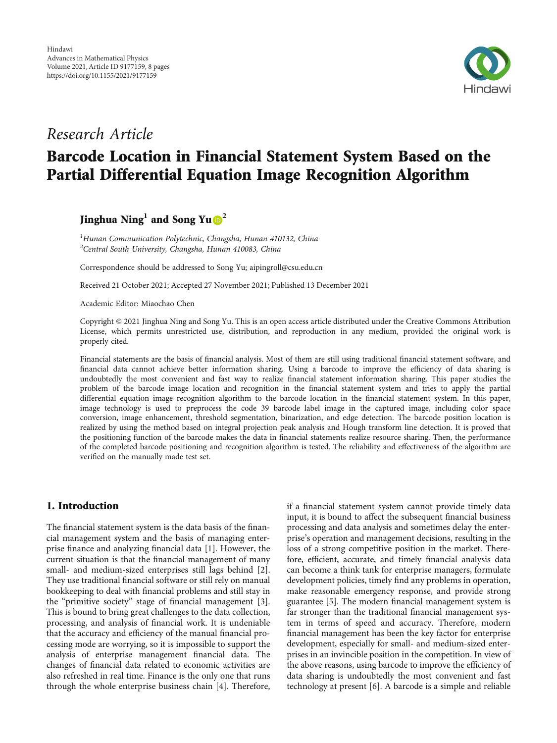

# Research Article

# Barcode Location in Financial Statement System Based on the Partial Differential Equation Image Recognition Algorithm

Jinghua Ning**<sup>1</sup>** and Song Yu **<sup>2</sup>**

<sup>1</sup>Hunan Communication Polytechnic, Changsha, Hunan 410132, China <sup>2</sup> Central South University, Changsha, Hunan 410083, China

Correspondence should be addressed to Song Yu; aipingroll@csu.edu.cn

Received 21 October 2021; Accepted 27 November 2021; Published 13 December 2021

Academic Editor: Miaochao Chen

Copyright © 2021 Jinghua Ning and Song Yu. This is an open access article distributed under the [Creative Commons Attribution](https://creativecommons.org/licenses/by/4.0/) [License,](https://creativecommons.org/licenses/by/4.0/) which permits unrestricted use, distribution, and reproduction in any medium, provided the original work is properly cited.

Financial statements are the basis of financial analysis. Most of them are still using traditional financial statement software, and financial data cannot achieve better information sharing. Using a barcode to improve the efficiency of data sharing is undoubtedly the most convenient and fast way to realize financial statement information sharing. This paper studies the problem of the barcode image location and recognition in the financial statement system and tries to apply the partial differential equation image recognition algorithm to the barcode location in the financial statement system. In this paper, image technology is used to preprocess the code 39 barcode label image in the captured image, including color space conversion, image enhancement, threshold segmentation, binarization, and edge detection. The barcode position location is realized by using the method based on integral projection peak analysis and Hough transform line detection. It is proved that the positioning function of the barcode makes the data in financial statements realize resource sharing. Then, the performance of the completed barcode positioning and recognition algorithm is tested. The reliability and effectiveness of the algorithm are verified on the manually made test set.

## 1. Introduction

The financial statement system is the data basis of the financial management system and the basis of managing enterprise finance and analyzing financial data [[1\]](#page-7-0). However, the current situation is that the financial management of many small- and medium-sized enterprises still lags behind [[2](#page-7-0)]. They use traditional financial software or still rely on manual bookkeeping to deal with financial problems and still stay in the "primitive society" stage of financial management [[3](#page-7-0)]. This is bound to bring great challenges to the data collection, processing, and analysis of financial work. It is undeniable that the accuracy and efficiency of the manual financial processing mode are worrying, so it is impossible to support the analysis of enterprise management financial data. The changes of financial data related to economic activities are also refreshed in real time. Finance is the only one that runs through the whole enterprise business chain [[4\]](#page-7-0). Therefore, if a financial statement system cannot provide timely data input, it is bound to affect the subsequent financial business processing and data analysis and sometimes delay the enterprise's operation and management decisions, resulting in the loss of a strong competitive position in the market. Therefore, efficient, accurate, and timely financial analysis data can become a think tank for enterprise managers, formulate development policies, timely find any problems in operation, make reasonable emergency response, and provide strong guarantee [[5](#page-7-0)]. The modern financial management system is far stronger than the traditional financial management system in terms of speed and accuracy. Therefore, modern financial management has been the key factor for enterprise development, especially for small- and medium-sized enterprises in an invincible position in the competition. In view of the above reasons, using barcode to improve the efficiency of data sharing is undoubtedly the most convenient and fast technology at present [\[6\]](#page-7-0). A barcode is a simple and reliable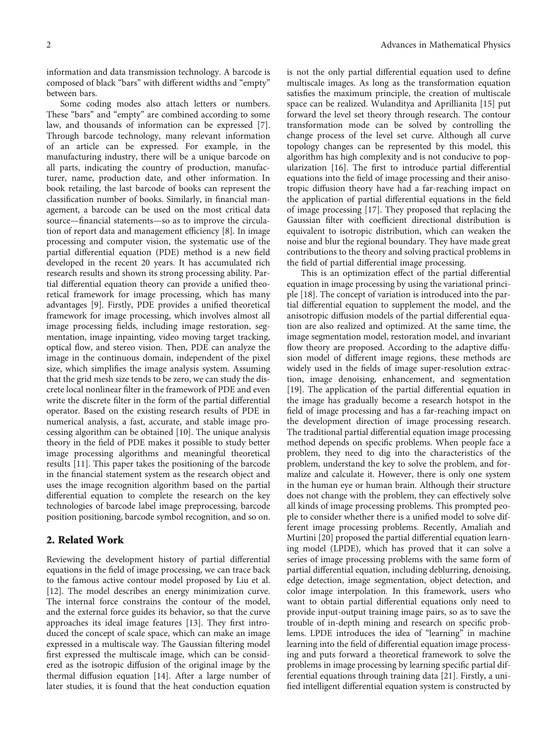information and data transmission technology. A barcode is composed of black "bars" with different widths and "empty" between bars.

Some coding modes also attach letters or numbers. These "bars" and "empty" are combined according to some law, and thousands of information can be expressed [[7](#page-7-0)]. Through barcode technology, many relevant information of an article can be expressed. For example, in the manufacturing industry, there will be a unique barcode on all parts, indicating the country of production, manufacturer, name, production date, and other information. In book retailing, the last barcode of books can represent the classification number of books. Similarly, in financial management, a barcode can be used on the most critical data source—financial statements—so as to improve the circulation of report data and management efficiency [\[8](#page-7-0)]. In image processing and computer vision, the systematic use of the partial differential equation (PDE) method is a new field developed in the recent 20 years. It has accumulated rich research results and shown its strong processing ability. Partial differential equation theory can provide a unified theoretical framework for image processing, which has many advantages [\[9](#page-7-0)]. Firstly, PDE provides a unified theoretical framework for image processing, which involves almost all image processing fields, including image restoration, segmentation, image inpainting, video moving target tracking, optical flow, and stereo vision. Then, PDE can analyze the image in the continuous domain, independent of the pixel size, which simplifies the image analysis system. Assuming that the grid mesh size tends to be zero, we can study the discrete local nonlinear filter in the framework of PDE and even write the discrete filter in the form of the partial differential operator. Based on the existing research results of PDE in numerical analysis, a fast, accurate, and stable image processing algorithm can be obtained [[10](#page-7-0)]. The unique analysis theory in the field of PDE makes it possible to study better image processing algorithms and meaningful theoretical results [\[11\]](#page-7-0). This paper takes the positioning of the barcode in the financial statement system as the research object and uses the image recognition algorithm based on the partial differential equation to complete the research on the key technologies of barcode label image preprocessing, barcode position positioning, barcode symbol recognition, and so on.

## 2. Related Work

Reviewing the development history of partial differential equations in the field of image processing, we can trace back to the famous active contour model proposed by Liu et al. [\[12](#page-7-0)]. The model describes an energy minimization curve. The internal force constrains the contour of the model, and the external force guides its behavior, so that the curve approaches its ideal image features [[13](#page-7-0)]. They first introduced the concept of scale space, which can make an image expressed in a multiscale way. The Gaussian filtering model first expressed the multiscale image, which can be considered as the isotropic diffusion of the original image by the thermal diffusion equation [[14](#page-7-0)]. After a large number of later studies, it is found that the heat conduction equation

is not the only partial differential equation used to define multiscale images. As long as the transformation equation satisfies the maximum principle, the creation of multiscale space can be realized. Wulanditya and Aprillianita [\[15\]](#page-7-0) put forward the level set theory through research. The contour transformation mode can be solved by controlling the change process of the level set curve. Although all curve topology changes can be represented by this model, this algorithm has high complexity and is not conducive to popularization [\[16\]](#page-7-0). The first to introduce partial differential equations into the field of image processing and their anisotropic diffusion theory have had a far-reaching impact on the application of partial differential equations in the field of image processing [\[17\]](#page-7-0). They proposed that replacing the Gaussian filter with coefficient directional distribution is equivalent to isotropic distribution, which can weaken the noise and blur the regional boundary. They have made great contributions to the theory and solving practical problems in the field of partial differential image processing.

This is an optimization effect of the partial differential equation in image processing by using the variational principle [[18](#page-7-0)]. The concept of variation is introduced into the partial differential equation to supplement the model, and the anisotropic diffusion models of the partial differential equation are also realized and optimized. At the same time, the image segmentation model, restoration model, and invariant flow theory are proposed. According to the adaptive diffusion model of different image regions, these methods are widely used in the fields of image super-resolution extraction, image denoising, enhancement, and segmentation [\[19](#page-7-0)]. The application of the partial differential equation in the image has gradually become a research hotspot in the field of image processing and has a far-reaching impact on the development direction of image processing research. The traditional partial differential equation image processing method depends on specific problems. When people face a problem, they need to dig into the characteristics of the problem, understand the key to solve the problem, and formalize and calculate it. However, there is only one system in the human eye or human brain. Although their structure does not change with the problem, they can effectively solve all kinds of image processing problems. This prompted people to consider whether there is a unified model to solve different image processing problems. Recently, Amaliah and Murtini [\[20\]](#page-7-0) proposed the partial differential equation learning model (LPDE), which has proved that it can solve a series of image processing problems with the same form of partial differential equation, including deblurring, denoising, edge detection, image segmentation, object detection, and color image interpolation. In this framework, users who want to obtain partial differential equations only need to provide input-output training image pairs, so as to save the trouble of in-depth mining and research on specific problems. LPDE introduces the idea of "learning" in machine learning into the field of differential equation image processing and puts forward a theoretical framework to solve the problems in image processing by learning specific partial differential equations through training data [\[21\]](#page-7-0). Firstly, a unified intelligent differential equation system is constructed by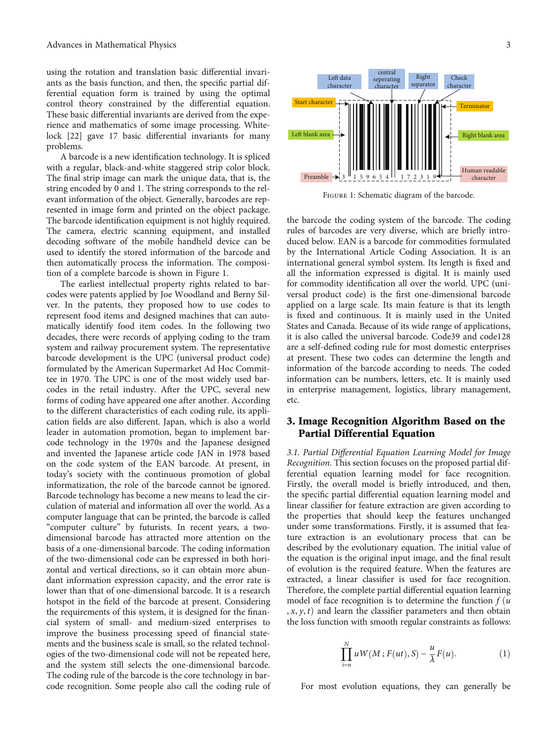using the rotation and translation basic differential invariants as the basis function, and then, the specific partial differential equation form is trained by using the optimal control theory constrained by the differential equation. These basic differential invariants are derived from the experience and mathematics of some image processing. Whitelock [\[22](#page-7-0)] gave 17 basic differential invariants for many problems.

A barcode is a new identification technology. It is spliced with a regular, black-and-white staggered strip color block. The final strip image can mark the unique data, that is, the string encoded by 0 and 1. The string corresponds to the relevant information of the object. Generally, barcodes are represented in image form and printed on the object package. The barcode identification equipment is not highly required. The camera, electric scanning equipment, and installed decoding software of the mobile handheld device can be used to identify the stored information of the barcode and then automatically process the information. The composition of a complete barcode is shown in Figure 1.

The earliest intellectual property rights related to barcodes were patents applied by Joe Woodland and Berny Silver. In the patents, they proposed how to use codes to represent food items and designed machines that can automatically identify food item codes. In the following two decades, there were records of applying coding to the tram system and railway procurement system. The representative barcode development is the UPC (universal product code) formulated by the American Supermarket Ad Hoc Committee in 1970. The UPC is one of the most widely used barcodes in the retail industry. After the UPC, several new forms of coding have appeared one after another. According to the different characteristics of each coding rule, its application fields are also different. Japan, which is also a world leader in automation promotion, began to implement barcode technology in the 1970s and the Japanese designed and invented the Japanese article code JAN in 1978 based on the code system of the EAN barcode. At present, in today's society with the continuous promotion of global informatization, the role of the barcode cannot be ignored. Barcode technology has become a new means to lead the circulation of material and information all over the world. As a computer language that can be printed, the barcode is called "computer culture" by futurists. In recent years, a twodimensional barcode has attracted more attention on the basis of a one-dimensional barcode. The coding information of the two-dimensional code can be expressed in both horizontal and vertical directions, so it can obtain more abundant information expression capacity, and the error rate is lower than that of one-dimensional barcode. It is a research hotspot in the field of the barcode at present. Considering the requirements of this system, it is designed for the financial system of small- and medium-sized enterprises to improve the business processing speed of financial statements and the business scale is small, so the related technologies of the two-dimensional code will not be repeated here, and the system still selects the one-dimensional barcode. The coding rule of the barcode is the core technology in barcode recognition. Some people also call the coding rule of



Figure 1: Schematic diagram of the barcode.

the barcode the coding system of the barcode. The coding rules of barcodes are very diverse, which are briefly introduced below. EAN is a barcode for commodities formulated by the International Article Coding Association. It is an international general symbol system. Its length is fixed and all the information expressed is digital. It is mainly used for commodity identification all over the world. UPC (universal product code) is the first one-dimensional barcode applied on a large scale. Its main feature is that its length is fixed and continuous. It is mainly used in the United States and Canada. Because of its wide range of applications, it is also called the universal barcode. Code39 and code128 are a self-defined coding rule for most domestic enterprises at present. These two codes can determine the length and information of the barcode according to needs. The coded information can be numbers, letters, etc. It is mainly used in enterprise management, logistics, library management, etc.

## 3. Image Recognition Algorithm Based on the Partial Differential Equation

3.1. Partial Differential Equation Learning Model for Image Recognition. This section focuses on the proposed partial differential equation learning model for face recognition. Firstly, the overall model is briefly introduced, and then, the specific partial differential equation learning model and linear classifier for feature extraction are given according to the properties that should keep the features unchanged under some transformations. Firstly, it is assumed that feature extraction is an evolutionary process that can be described by the evolutionary equation. The initial value of the equation is the original input image, and the final result of evolution is the required feature. When the features are extracted, a linear classifier is used for face recognition. Therefore, the complete partial differential equation learning model of face recognition is to determine the function  $f(u)$  $(x, y, t)$  and learn the classifier parameters and then obtain the loss function with smooth regular constraints as follows:

$$
\prod_{i=n}^{N} u W(M; F(ut), S) - \frac{u}{\lambda} F(u).
$$
 (1)

For most evolution equations, they can generally be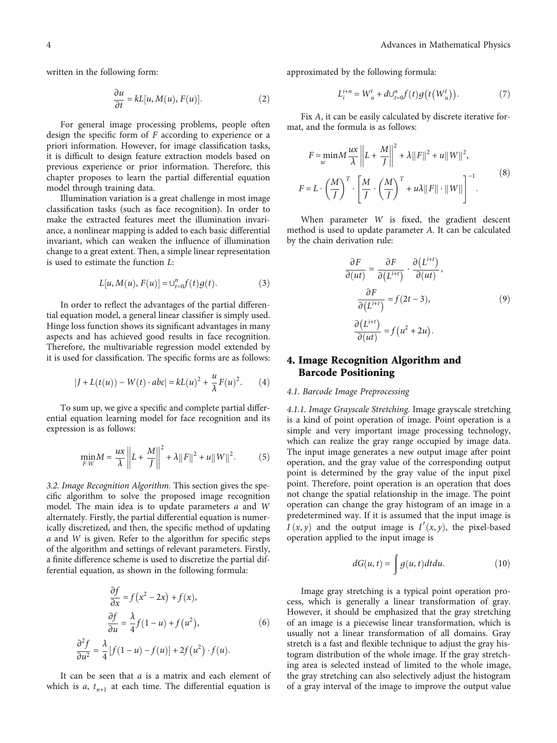written in the following form:

$$
\frac{\partial u}{\partial t} = kL[u, M(u), F(u)].
$$
\n(2)

For general image processing problems, people often design the specific form of *F* according to experience or a priori information. However, for image classification tasks, it is difficult to design feature extraction models based on previous experience or prior information. Therefore, this chapter proposes to learn the partial differential equation model through training data.

Illumination variation is a great challenge in most image classification tasks (such as face recognition). In order to make the extracted features meet the illumination invariance, a nonlinear mapping is added to each basic differential invariant, which can weaken the influence of illumination change to a great extent. Then, a simple linear representation is used to estimate the function *L*:

$$
L[u, M(u), F(u)] = \bigcup_{t=0}^{n} f(t)g(t).
$$
 (3)

In order to reflect the advantages of the partial differential equation model, a general linear classifier is simply used. Hinge loss function shows its significant advantages in many aspects and has achieved good results in face recognition. Therefore, the multivariable regression model extended by it is used for classification. The specific forms are as follows:

$$
|J + L(t(u)) - W(t) \cdot abc| = kL(u)^2 + \frac{u}{\lambda}F(u)^2.
$$
 (4)

To sum up, we give a specific and complete partial differential equation learning model for face recognition and its expression is as follows:

$$
\min_{F \cdot W} M = \frac{ux}{\lambda} \left\| L + \frac{M}{J} \right\|^2 + \lambda \| F \|^2 + u \| W \|^2. \tag{5}
$$

3.2. Image Recognition Algorithm. This section gives the specific algorithm to solve the proposed image recognition model. The main idea is to update parameters *a* and *W* alternately. Firstly, the partial differential equation is numerically discretized, and then, the specific method of updating *a* and *W* is given. Refer to the algorithm for specific steps of the algorithm and settings of relevant parameters. Firstly, a finite difference scheme is used to discretize the partial differential equation, as shown in the following formula:

$$
\frac{\partial f}{\partial x} = f(x^2 - 2x) + f(x),
$$

$$
\frac{\partial f}{\partial u} = \frac{\lambda}{4} f(1 - u) + f(u^2),
$$

$$
\frac{\partial^2 f}{\partial u^2} = \frac{\lambda}{4} [f(1 - u) - f(u)] + 2f(u^2) \cdot f(u).
$$
(6)

It can be seen that *a* is a matrix and each element of which is *a*,  $t_{n+1}$  at each time. The differential equation is approximated by the following formula:

$$
L_i^{i+n} = W_u^t + dU_{t=0}^n f(t)g(t(W_u^t)).
$$
\n<sup>(7)</sup>

Fix *A*, it can be easily calculated by discrete iterative format, and the formula is as follows:

$$
F = \min_{w} M \frac{ux}{\lambda} \left\| L + \frac{M}{J} \right\|^2 + \lambda \|F\|^2 + u \|W\|^2,
$$
  

$$
F = L \cdot \left(\frac{M}{J}\right)^T \cdot \left[ \frac{M}{J} \cdot \left(\frac{M}{J}\right)^T + u\lambda \|F\| \cdot \|W\| \right]^{-1}.
$$
 (8)

When parameter *W* is fixed, the gradient descent method is used to update parameter *A*. It can be calculated by the chain derivation rule:

$$
\frac{\partial F}{\partial (ut)} = \frac{\partial F}{\partial (L^{i+t})} \cdot \frac{\partial (L^{i+t})}{\partial (ut)},
$$

$$
\frac{\partial F}{\partial (L^{i+t})} = f(2t - 3), \qquad (9)
$$

$$
\frac{\partial (L^{i+t})}{\partial (ut)} = f(u^2 + 2u).
$$

## 4. Image Recognition Algorithm and Barcode Positioning

#### 4.1. Barcode Image Preprocessing

4.1.1. Image Grayscale Stretching. Image grayscale stretching is a kind of point operation of image. Point operation is a simple and very important image processing technology, which can realize the gray range occupied by image data. The input image generates a new output image after point operation, and the gray value of the corresponding output point is determined by the gray value of the input pixel point. Therefore, point operation is an operation that does not change the spatial relationship in the image. The point operation can change the gray histogram of an image in a predetermined way. If it is assumed that the input image is *I*  $(x, y)$  and the output image is *I*<sup> $\prime$ </sup> $(x, y)$ , the pixel-based operation applied to the input image is

$$
dG(u, t) = \int g(u, t) dt du.
$$
 (10)

Image gray stretching is a typical point operation process, which is generally a linear transformation of gray. However, it should be emphasized that the gray stretching of an image is a piecewise linear transformation, which is usually not a linear transformation of all domains. Gray stretch is a fast and flexible technique to adjust the gray histogram distribution of the whole image. If the gray stretching area is selected instead of limited to the whole image, the gray stretching can also selectively adjust the histogram of a gray interval of the image to improve the output value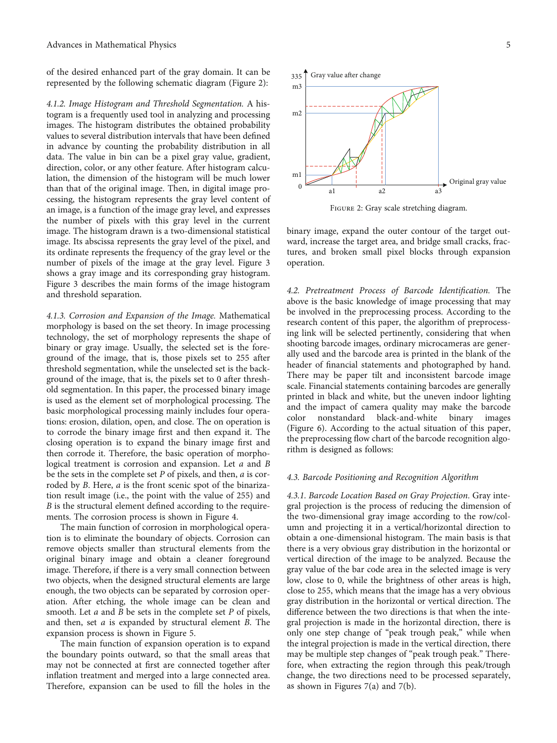of the desired enhanced part of the gray domain. It can be represented by the following schematic diagram (Figure 2):

4.1.2. Image Histogram and Threshold Segmentation. A histogram is a frequently used tool in analyzing and processing images. The histogram distributes the obtained probability values to several distribution intervals that have been defined in advance by counting the probability distribution in all data. The value in bin can be a pixel gray value, gradient, direction, color, or any other feature. After histogram calculation, the dimension of the histogram will be much lower than that of the original image. Then, in digital image processing, the histogram represents the gray level content of an image, is a function of the image gray level, and expresses the number of pixels with this gray level in the current image. The histogram drawn is a two-dimensional statistical image. Its abscissa represents the gray level of the pixel, and its ordinate represents the frequency of the gray level or the number of pixels of the image at the gray level. Figure [3](#page-5-0) shows a gray image and its corresponding gray histogram. Figure [3](#page-5-0) describes the main forms of the image histogram and threshold separation.

4.1.3. Corrosion and Expansion of the Image. Mathematical morphology is based on the set theory. In image processing technology, the set of morphology represents the shape of binary or gray image. Usually, the selected set is the foreground of the image, that is, those pixels set to 255 after threshold segmentation, while the unselected set is the background of the image, that is, the pixels set to 0 after threshold segmentation. In this paper, the processed binary image is used as the element set of morphological processing. The basic morphological processing mainly includes four operations: erosion, dilation, open, and close. The on operation is to corrode the binary image first and then expand it. The closing operation is to expand the binary image first and then corrode it. Therefore, the basic operation of morphological treatment is corrosion and expansion. Let *a* and *B* be the sets in the complete set *P* of pixels, and then, *a* is corroded by *B*. Here, *a* is the front scenic spot of the binarization result image (i.e., the point with the value of 255) and *B* is the structural element defined according to the requirements. The corrosion process is shown in Figure [4.](#page-5-0)

The main function of corrosion in morphological operation is to eliminate the boundary of objects. Corrosion can remove objects smaller than structural elements from the original binary image and obtain a cleaner foreground image. Therefore, if there is a very small connection between two objects, when the designed structural elements are large enough, the two objects can be separated by corrosion operation. After etching, the whole image can be clean and smooth. Let *a* and *B* be sets in the complete set *P* of pixels, and then, set *a* is expanded by structural element *B*. The expansion process is shown in Figure [5.](#page-5-0)

The main function of expansion operation is to expand the boundary points outward, so that the small areas that may not be connected at first are connected together after inflation treatment and merged into a large connected area. Therefore, expansion can be used to fill the holes in the



Figure 2: Gray scale stretching diagram.

binary image, expand the outer contour of the target outward, increase the target area, and bridge small cracks, fractures, and broken small pixel blocks through expansion operation.

4.2. Pretreatment Process of Barcode Identification. The above is the basic knowledge of image processing that may be involved in the preprocessing process. According to the research content of this paper, the algorithm of preprocessing link will be selected pertinently, considering that when shooting barcode images, ordinary microcameras are generally used and the barcode area is printed in the blank of the header of financial statements and photographed by hand. There may be paper tilt and inconsistent barcode image scale. Financial statements containing barcodes are generally printed in black and white, but the uneven indoor lighting and the impact of camera quality may make the barcode color nonstandard black-and-white binary images (Figure [6](#page-5-0)). According to the actual situation of this paper, the preprocessing flow chart of the barcode recognition algorithm is designed as follows:

#### 4.3. Barcode Positioning and Recognition Algorithm

4.3.1. Barcode Location Based on Gray Projection. Gray integral projection is the process of reducing the dimension of the two-dimensional gray image according to the row/column and projecting it in a vertical/horizontal direction to obtain a one-dimensional histogram. The main basis is that there is a very obvious gray distribution in the horizontal or vertical direction of the image to be analyzed. Because the gray value of the bar code area in the selected image is very low, close to 0, while the brightness of other areas is high, close to 255, which means that the image has a very obvious gray distribution in the horizontal or vertical direction. The difference between the two directions is that when the integral projection is made in the horizontal direction, there is only one step change of "peak trough peak," while when the integral projection is made in the vertical direction, there may be multiple step changes of "peak trough peak." Therefore, when extracting the region through this peak/trough change, the two directions need to be processed separately, as shown in Figures [7\(a\)](#page-6-0) and [7\(b\)](#page-6-0).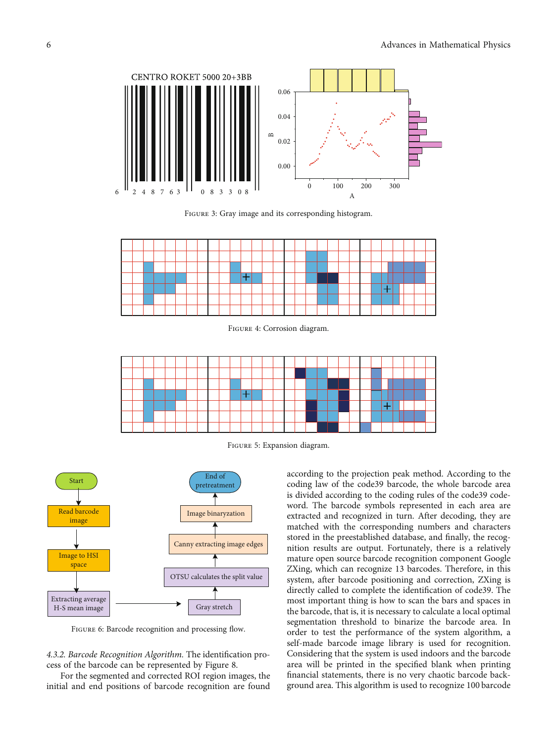<span id="page-5-0"></span>

Figure 3: Gray image and its corresponding histogram.



Figure 4: Corrosion diagram.



Figure 5: Expansion diagram.



FIGURE 6: Barcode recognition and processing flow.

4.3.2. Barcode Recognition Algorithm. The identification process of the barcode can be represented by Figure [8](#page-6-0).

For the segmented and corrected ROI region images, the initial and end positions of barcode recognition are found

according to the projection peak method. According to the coding law of the code39 barcode, the whole barcode area is divided according to the coding rules of the code39 codeword. The barcode symbols represented in each area are extracted and recognized in turn. After decoding, they are matched with the corresponding numbers and characters stored in the preestablished database, and finally, the recognition results are output. Fortunately, there is a relatively mature open source barcode recognition component Google ZXing, which can recognize 13 barcodes. Therefore, in this system, after barcode positioning and correction, ZXing is directly called to complete the identification of code39. The most important thing is how to scan the bars and spaces in the barcode, that is, it is necessary to calculate a local optimal segmentation threshold to binarize the barcode area. In order to test the performance of the system algorithm, a self-made barcode image library is used for recognition. Considering that the system is used indoors and the barcode area will be printed in the specified blank when printing financial statements, there is no very chaotic barcode background area. This algorithm is used to recognize 100 barcode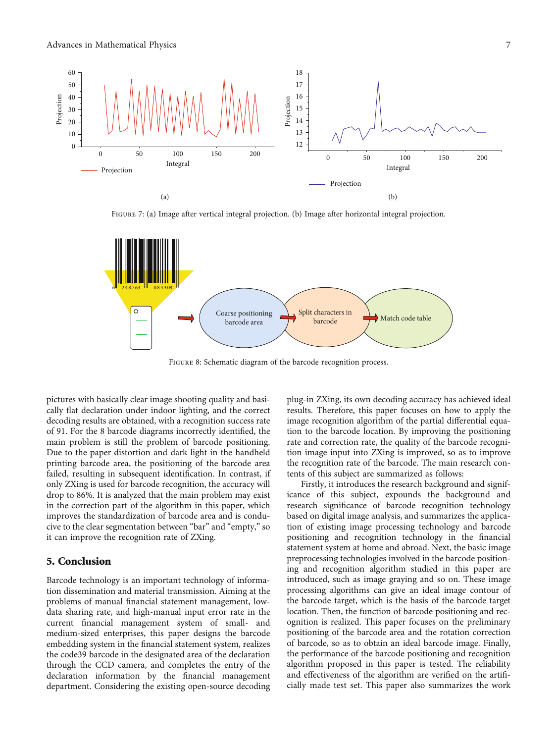<span id="page-6-0"></span>

Figure 7: (a) Image after vertical integral projection. (b) Image after horizontal integral projection.



FIGURE 8: Schematic diagram of the barcode recognition process.

pictures with basically clear image shooting quality and basically flat declaration under indoor lighting, and the correct decoding results are obtained, with a recognition success rate of 91. For the 8 barcode diagrams incorrectly identified, the main problem is still the problem of barcode positioning. Due to the paper distortion and dark light in the handheld printing barcode area, the positioning of the barcode area failed, resulting in subsequent identification. In contrast, if only ZXing is used for barcode recognition, the accuracy will drop to 86%. It is analyzed that the main problem may exist in the correction part of the algorithm in this paper, which improves the standardization of barcode area and is conducive to the clear segmentation between "bar" and "empty," so it can improve the recognition rate of ZXing.

## 5. Conclusion

Barcode technology is an important technology of information dissemination and material transmission. Aiming at the problems of manual financial statement management, lowdata sharing rate, and high-manual input error rate in the current financial management system of small- and medium-sized enterprises, this paper designs the barcode embedding system in the financial statement system, realizes the code39 barcode in the designated area of the declaration through the CCD camera, and completes the entry of the declaration information by the financial management department. Considering the existing open-source decoding

plug-in ZXing, its own decoding accuracy has achieved ideal results. Therefore, this paper focuses on how to apply the image recognition algorithm of the partial differential equation to the barcode location. By improving the positioning rate and correction rate, the quality of the barcode recognition image input into ZXing is improved, so as to improve the recognition rate of the barcode. The main research contents of this subject are summarized as follows:

Firstly, it introduces the research background and significance of this subject, expounds the background and research significance of barcode recognition technology based on digital image analysis, and summarizes the application of existing image processing technology and barcode positioning and recognition technology in the financial statement system at home and abroad. Next, the basic image preprocessing technologies involved in the barcode positioning and recognition algorithm studied in this paper are introduced, such as image graying and so on. These image processing algorithms can give an ideal image contour of the barcode target, which is the basis of the barcode target location. Then, the function of barcode positioning and recognition is realized. This paper focuses on the preliminary positioning of the barcode area and the rotation correction of barcode, so as to obtain an ideal barcode image. Finally, the performance of the barcode positioning and recognition algorithm proposed in this paper is tested. The reliability and effectiveness of the algorithm are verified on the artificially made test set. This paper also summarizes the work